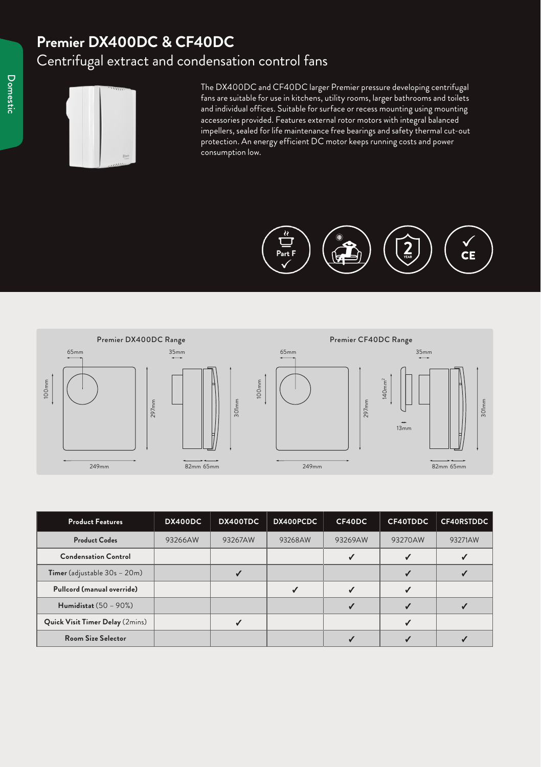## **Premier DX400DC & CF40DC** Centrifugal extract and condensation control fans



The DX400DC and CF40DC larger Premier pressure developing centrifugal fans are suitable for use in kitchens, utility rooms, larger bathrooms and toilets and individual offices. Suitable for surface or recess mounting using mounting accessories provided. Features external rotor motors with integral balanced impellers, sealed for life maintenance free bearings and safety thermal cut-out protection. An energy efficient DC motor keeps running costs and power consumption low.





| 297mm<br>249mm                  | 82mm 65mm | 301 <sub>min</sub> | 249mm        | 297mm   | 13mm         | 301 <sub>min</sub><br>82mm 65mm |
|---------------------------------|-----------|--------------------|--------------|---------|--------------|---------------------------------|
| <b>Product Features</b>         | DX400DC   | DX400TDC           | DX400PCDC    | CF40DC  | CF40TDDC     | CF40RSTDDC                      |
| <b>Product Codes</b>            | 93266AW   | 93267AW            | 93268AW      | 93269AW | 93270AW      | 93271AW                         |
| <b>Condensation Control</b>     |           |                    |              | ✓       | ✓            | ✓                               |
| Timer (adjustable 30s - 20m)    |           | $\checkmark$       |              |         | $\checkmark$ | ✓                               |
| Pullcord (manual override)      |           |                    | $\checkmark$ | ✓       | ✓            |                                 |
| <b>Humidistat</b> (50 - 90%)    |           |                    |              | ✓       | $\checkmark$ | $\checkmark$                    |
| Quick Visit Timer Delay (2mins) |           | $\checkmark$       |              |         | ✓            |                                 |
|                                 |           |                    |              |         |              |                                 |